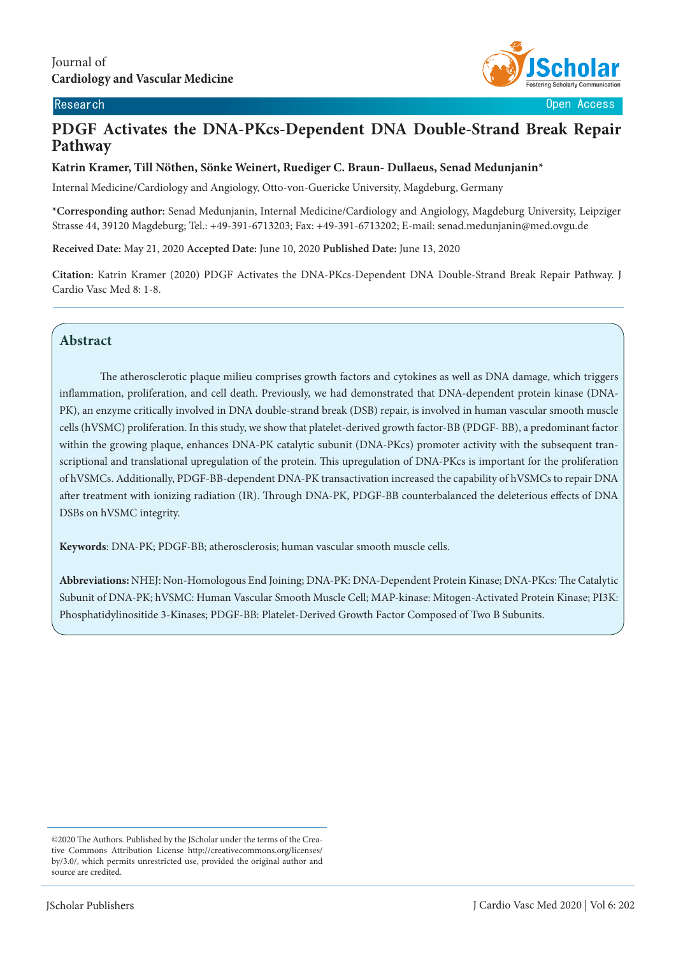

Research **Open Access**  $\sim$  0.000  $\sim$  0.000  $\sim$  0.000  $\sim$  0.000  $\sim$  0.000  $\sim$  0.000  $\sim$  0.000  $\sim$  0.000  $\sim$  0.000  $\sim$  0.000  $\sim$  0.000  $\sim$  0.000  $\sim$  0.000  $\sim$  0.000  $\sim$  0.000  $\sim$  0.000  $\sim$  0.000  $\sim$  0.000

# **PDGF Activates the DNA-PKcs-Dependent DNA Double-Strand Break Repair Pathway**

## **Katrin Kramer, Till Nöthen, Sönke Weinert, Ruediger C. Braun- Dullaeus, Senad Medunjanin\***

Internal Medicine/Cardiology and Angiology, Otto-von-Guericke University, Magdeburg, Germany

**\*Corresponding author:** Senad Medunjanin, Internal Medicine/Cardiology and Angiology, Magdeburg University, Leipziger Strasse 44, 39120 Magdeburg; Tel.: +49-391-6713203; Fax: +49-391-6713202; E-mail: senad.medunjanin@med.ovgu.de

**Received Date:** May 21, 2020 **Accepted Date:** June 10, 2020 **Published Date:** June 13, 2020

**Citation:** Katrin Kramer (2020) PDGF Activates the DNA-PKcs-Dependent DNA Double-Strand Break Repair Pathway. J Cardio Vasc Med 8: 1-8.

# **Abstract**

The atherosclerotic plaque milieu comprises growth factors and cytokines as well as DNA damage, which triggers inflammation, proliferation, and cell death. Previously, we had demonstrated that DNA-dependent protein kinase (DNA-PK), an enzyme critically involved in DNA double-strand break (DSB) repair, is involved in human vascular smooth muscle cells (hVSMC) proliferation. In this study, we show that platelet-derived growth factor-BB (PDGF- BB), a predominant factor within the growing plaque, enhances DNA-PK catalytic subunit (DNA-PKcs) promoter activity with the subsequent transcriptional and translational upregulation of the protein. This upregulation of DNA-PKcs is important for the proliferation of hVSMCs. Additionally, PDGF-BB-dependent DNA-PK transactivation increased the capability of hVSMCs to repair DNA after treatment with ionizing radiation (IR). Through DNA-PK, PDGF-BB counterbalanced the deleterious effects of DNA DSBs on hVSMC integrity.

**Keywords**: DNA-PK; PDGF-BB; atherosclerosis; human vascular smooth muscle cells.

**Abbreviations:** NHEJ: Non-Homologous End Joining; DNA-PK: DNA-Dependent Protein Kinase; DNA-PKcs: The Catalytic Subunit of DNA-PK; hVSMC: Human Vascular Smooth Muscle Cell; MAP-kinase: Mitogen-Activated Protein Kinase; PI3K: Phosphatidylinositide 3-Kinases; PDGF-BB: Platelet-Derived Growth Factor Composed of Two B Subunits.

<sup>©2020</sup> The Authors. Published by the JScholar under the terms of the Creative Commons Attribution License http://creativecommons.org/licenses/ by/3.0/, which permits unrestricted use, provided the original author and source are credited.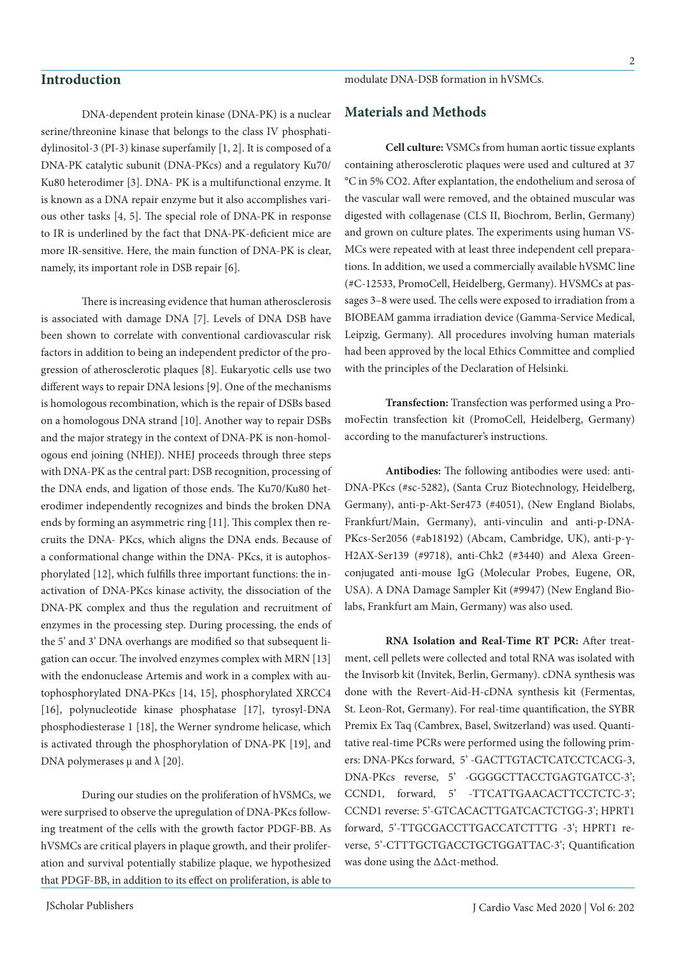# **Introduction**

modulate DNA-DSB formation in hVSMCs.

DNA-dependent protein kinase (DNA-PK) is a nuclear serine/threonine kinase that belongs to the class IV phosphatidylinositol-3 (PI-3) kinase superfamily [1, 2]. It is composed of a DNA-PK catalytic subunit (DNA-PKcs) and a regulatory Ku70/ Ku80 heterodimer [3]. DNA- PK is a multifunctional enzyme. It is known as a DNA repair enzyme but it also accomplishes various other tasks [4, 5]. The special role of DNA-PK in response to IR is underlined by the fact that DNA-PK-deficient mice are more IR-sensitive. Here, the main function of DNA-PK is clear, namely, its important role in DSB repair [6].

There is increasing evidence that human atherosclerosis is associated with damage DNA [7]. Levels of DNA DSB have been shown to correlate with conventional cardiovascular risk factors in addition to being an independent predictor of the progression of atherosclerotic plaques [8]. Eukaryotic cells use two different ways to repair DNA lesions [9]. One of the mechanisms is homologous recombination, which is the repair of DSBs based on a homologous DNA strand [10]. Another way to repair DSBs and the major strategy in the context of DNA-PK is non-homologous end joining (NHEJ). NHEJ proceeds through three steps with DNA-PK as the central part: DSB recognition, processing of the DNA ends, and ligation of those ends. The Ku70/Ku80 heterodimer independently recognizes and binds the broken DNA ends by forming an asymmetric ring [11]. This complex then recruits the DNA- PKcs, which aligns the DNA ends. Because of a conformational change within the DNA- PKcs, it is autophosphorylated [12], which fulfills three important functions: the inactivation of DNA-PKcs kinase activity, the dissociation of the DNA-PK complex and thus the regulation and recruitment of enzymes in the processing step. During processing, the ends of the 5' and 3' DNA overhangs are modified so that subsequent ligation can occur. The involved enzymes complex with MRN [13] with the endonuclease Artemis and work in a complex with autophosphorylated DNA-PKcs [14, 15], phosphorylated XRCC4 [16], polynucleotide kinase phosphatase [17], tyrosyl-DNA phosphodiesterase 1 [18], the Werner syndrome helicase, which is activated through the phosphorylation of DNA-PK [19], and DNA polymerases  $\mu$  and  $\lambda$  [20].

During our studies on the proliferation of hVSMCs, we were surprised to observe the upregulation of DNA-PKcs following treatment of the cells with the growth factor PDGF-BB. As hVSMCs are critical players in plaque growth, and their proliferation and survival potentially stabilize plaque, we hypothesized that PDGF-BB, in addition to its effect on proliferation, is able to **Materials and Methods**

**Cell culture:** VSMCs from human aortic tissue explants containing atherosclerotic plaques were used and cultured at 37 °C in 5% CO2. After explantation, the endothelium and serosa of the vascular wall were removed, and the obtained muscular was digested with collagenase (CLS II, Biochrom, Berlin, Germany) and grown on culture plates. The experiments using human VS-MCs were repeated with at least three independent cell preparations. In addition, we used a commercially available hVSMC line (#C-12533, PromoCell, Heidelberg, Germany). HVSMCs at passages 3–8 were used. The cells were exposed to irradiation from a BIOBEAM gamma irradiation device (Gamma-Service Medical, Leipzig, Germany). All procedures involving human materials had been approved by the local Ethics Committee and complied with the principles of the Declaration of Helsinki.

**Transfection:** Transfection was performed using a PromoFectin transfection kit (PromoCell, Heidelberg, Germany) according to the manufacturer's instructions.

**Antibodies:** The following antibodies were used: anti-DNA-PKcs (#sc-5282), (Santa Cruz Biotechnology, Heidelberg, Germany), anti-p-Akt-Ser473 (#4051), (New England Biolabs, Frankfurt/Main, Germany), anti-vinculin and anti-p-DNA-PKcs-Ser2056 (#ab18192) (Abcam, Cambridge, UK), anti-p-γ-H2AX-Ser139 (#9718), anti-Chk2 (#3440) and Alexa Greenconjugated anti-mouse IgG (Molecular Probes, Eugene, OR, USA). A DNA Damage Sampler Kit (#9947) (New England Biolabs, Frankfurt am Main, Germany) was also used.

**RNA Isolation and Real-Time RT PCR:** After treatment, cell pellets were collected and total RNA was isolated with the Invisorb kit (Invitek, Berlin, Germany). cDNA synthesis was done with the Revert-Aid-H-cDNA synthesis kit (Fermentas, St. Leon-Rot, Germany). For real-time quantification, the SYBR Premix Ex Taq (Cambrex, Basel, Switzerland) was used. Quantitative real-time PCRs were performed using the following primers: DNA-PKcs forward, 5' -GACTTGTACTCATCCTCACG-3, DNA-PKcs reverse, 5' -GGGGCTTACCTGAGTGATCC-3'; CCND1, forward, 5' -TTCATTGAACACTTCCTCTC-3'; CCND1 reverse: 5'-GTCACACTTGATCACTCTGG-3'; HPRT1 forward, 5'-TTGCGACCTTGACCATCTTTG -3'; HPRT1 reverse, 5'-CTTTGCTGACCTGCTGGATTAC-3'; Quantification was done using the ΔΔct-method.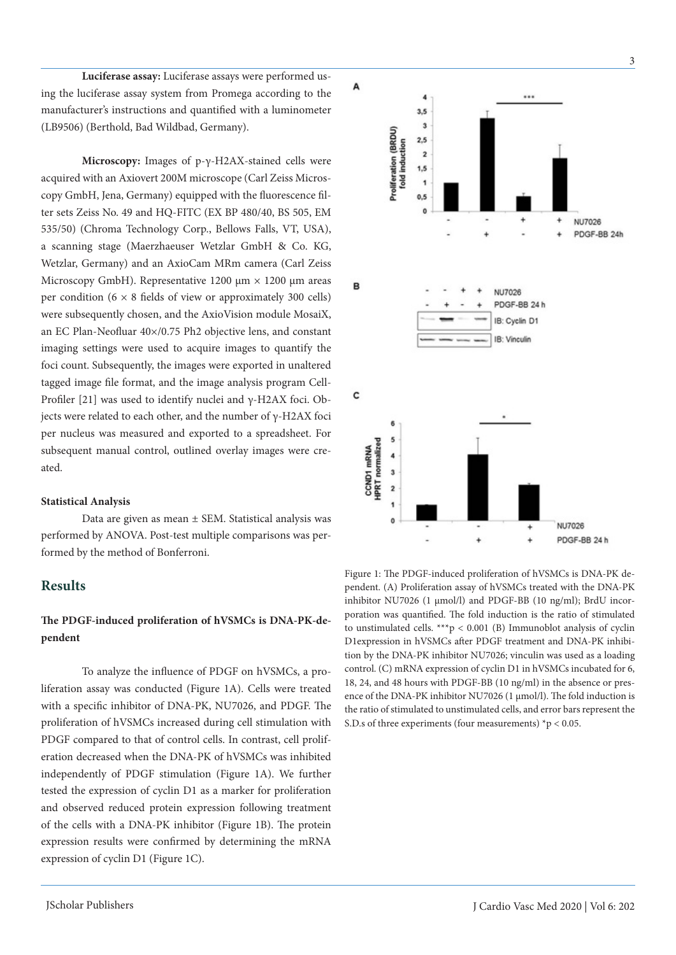**Luciferase assay:** Luciferase assays were performed using the luciferase assay system from Promega according to the manufacturer's instructions and quantified with a luminometer (LB9506) (Berthold, Bad Wildbad, Germany).

**Microscopy:** Images of p-γ-H2AX-stained cells were acquired with an Axiovert 200M microscope (Carl Zeiss Microscopy GmbH, Jena, Germany) equipped with the fluorescence filter sets Zeiss No. 49 and HQ-FITC (EX BP 480/40, BS 505, EM 535/50) (Chroma Technology Corp., Bellows Falls, VT, USA), a scanning stage (Maerzhaeuser Wetzlar GmbH & Co. KG, Wetzlar, Germany) and an AxioCam MRm camera (Carl Zeiss Microscopy GmbH). Representative 1200  $\mu$ m  $\times$  1200  $\mu$ m areas per condition ( $6 \times 8$  fields of view or approximately 300 cells) were subsequently chosen, and the AxioVision module MosaiX, an EC Plan-Neofluar 40×/0.75 Ph2 objective lens, and constant imaging settings were used to acquire images to quantify the foci count. Subsequently, the images were exported in unaltered tagged image file format, and the image analysis program Cell-Profiler [21] was used to identify nuclei and γ-H2AX foci. Objects were related to each other, and the number of γ-H2AX foci per nucleus was measured and exported to a spreadsheet. For subsequent manual control, outlined overlay images were created.

#### **Statistical Analysis**

Data are given as mean ± SEM. Statistical analysis was performed by ANOVA. Post-test multiple comparisons was performed by the method of Bonferroni.

# **Results**

# **The PDGF-induced proliferation of hVSMCs is DNA-PK-dependent**

To analyze the influence of PDGF on hVSMCs, a proliferation assay was conducted (Figure 1A). Cells were treated with a specific inhibitor of DNA-PK, NU7026, and PDGF. The proliferation of hVSMCs increased during cell stimulation with PDGF compared to that of control cells. In contrast, cell proliferation decreased when the DNA-PK of hVSMCs was inhibited independently of PDGF stimulation (Figure 1A). We further tested the expression of cyclin D1 as a marker for proliferation and observed reduced protein expression following treatment of the cells with a DNA-PK inhibitor (Figure 1B). The protein expression results were confirmed by determining the mRNA expression of cyclin D1 (Figure 1C).



Figure 1: The PDGF-induced proliferation of hVSMCs is DNA-PK dependent. (A) Proliferation assay of hVSMCs treated with the DNA-PK inhibitor NU7026 (1 µmol/l) and PDGF-BB (10 ng/ml); BrdU incorporation was quantified. The fold induction is the ratio of stimulated to unstimulated cells. \*\*\*p < 0.001 (B) Immunoblot analysis of cyclin D1expression in hVSMCs after PDGF treatment and DNA-PK inhibition by the DNA-PK inhibitor NU7026; vinculin was used as a loading control. (C) mRNA expression of cyclin D1 in hVSMCs incubated for 6, 18, 24, and 48 hours with PDGF-BB (10 ng/ml) in the absence or presence of the DNA-PK inhibitor NU7026 (1 µmol/l). The fold induction is the ratio of stimulated to unstimulated cells, and error bars represent the S.D.s of three experiments (four measurements)  $p < 0.05$ .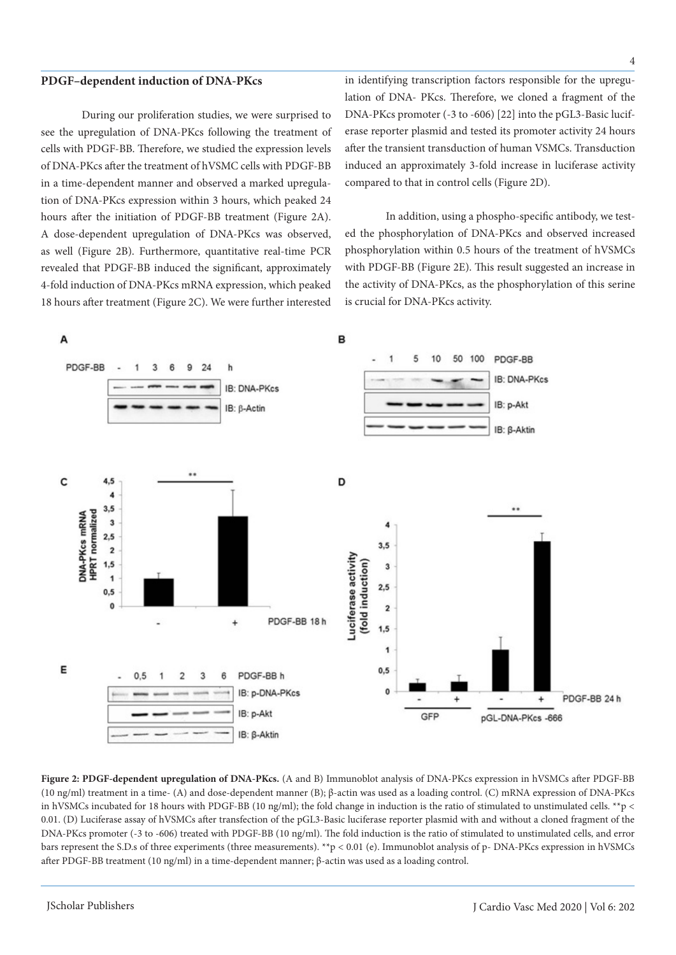#### **PDGF–dependent induction of DNA-PKcs**

During our proliferation studies, we were surprised to see the upregulation of DNA-PKcs following the treatment of cells with PDGF-BB. Therefore, we studied the expression levels of DNA-PKcs after the treatment of hVSMC cells with PDGF-BB in a time-dependent manner and observed a marked upregulation of DNA-PKcs expression within 3 hours, which peaked 24 hours after the initiation of PDGF-BB treatment (Figure 2A). A dose-dependent upregulation of DNA-PKcs was observed, as well (Figure 2B). Furthermore, quantitative real-time PCR revealed that PDGF-BB induced the significant, approximately 4-fold induction of DNA-PKcs mRNA expression, which peaked 18 hours after treatment (Figure 2C). We were further interested

in identifying transcription factors responsible for the upregulation of DNA- PKcs. Therefore, we cloned a fragment of the DNA-PKcs promoter (-3 to -606) [22] into the pGL3-Basic luciferase reporter plasmid and tested its promoter activity 24 hours after the transient transduction of human VSMCs. Transduction induced an approximately 3-fold increase in luciferase activity compared to that in control cells (Figure 2D).

In addition, using a phospho-specific antibody, we tested the phosphorylation of DNA-PKcs and observed increased phosphorylation within 0.5 hours of the treatment of hVSMCs with PDGF-BB (Figure 2E). This result suggested an increase in the activity of DNA-PKcs, as the phosphorylation of this serine is crucial for DNA-PKcs activity.



**Figure 2: PDGF-dependent upregulation of DNA-PKcs.** (A and B) Immunoblot analysis of DNA-PKcs expression in hVSMCs after PDGF-BB (10 ng/ml) treatment in a time- (A) and dose-dependent manner (B); β-actin was used as a loading control. (C) mRNA expression of DNA-PKcs in hVSMCs incubated for 18 hours with PDGF-BB (10 ng/ml); the fold change in induction is the ratio of stimulated to unstimulated cells. \*\*p < 0.01. (D) Luciferase assay of hVSMCs after transfection of the pGL3-Basic luciferase reporter plasmid with and without a cloned fragment of the DNA-PKcs promoter (-3 to -606) treated with PDGF-BB (10 ng/ml). The fold induction is the ratio of stimulated to unstimulated cells, and error bars represent the S.D.s of three experiments (three measurements). \*\*p < 0.01 (e). Immunoblot analysis of p- DNA-PKcs expression in hVSMCs after PDGF-BB treatment (10 ng/ml) in a time-dependent manner; β-actin was used as a loading control.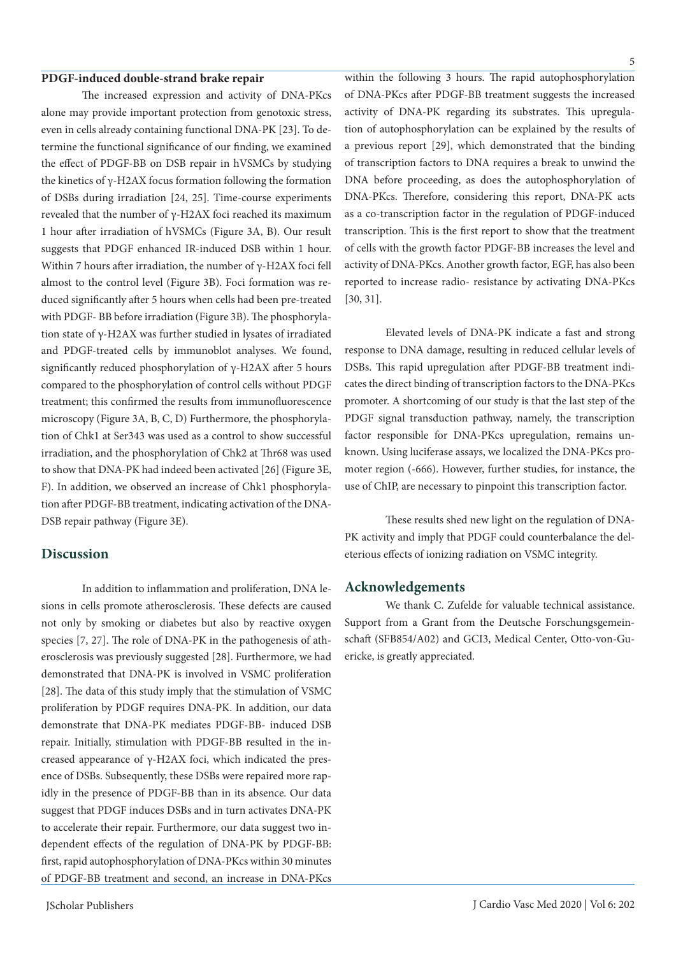#### **PDGF-induced double-strand brake repair**

The increased expression and activity of DNA-PKcs alone may provide important protection from genotoxic stress, even in cells already containing functional DNA-PK [23]. To determine the functional significance of our finding, we examined the effect of PDGF-BB on DSB repair in hVSMCs by studying the kinetics of γ-H2AX focus formation following the formation of DSBs during irradiation [24, 25]. Time-course experiments revealed that the number of γ-H2AX foci reached its maximum 1 hour after irradiation of hVSMCs (Figure 3A, B). Our result suggests that PDGF enhanced IR-induced DSB within 1 hour. Within 7 hours after irradiation, the number of γ-H2AX foci fell almost to the control level (Figure 3B). Foci formation was reduced significantly after 5 hours when cells had been pre-treated with PDGF- BB before irradiation (Figure 3B). The phosphorylation state of γ-H2AX was further studied in lysates of irradiated and PDGF-treated cells by immunoblot analyses. We found, significantly reduced phosphorylation of γ-H2AX after 5 hours compared to the phosphorylation of control cells without PDGF treatment; this confirmed the results from immunofluorescence microscopy (Figure 3A, B, C, D) Furthermore, the phosphorylation of Chk1 at Ser343 was used as a control to show successful irradiation, and the phosphorylation of Chk2 at Thr68 was used to show that DNA-PK had indeed been activated [26] (Figure 3E, F). In addition, we observed an increase of Chk1 phosphorylation after PDGF-BB treatment, indicating activation of the DNA-DSB repair pathway (Figure 3E).

## **Discussion**

In addition to inflammation and proliferation, DNA lesions in cells promote atherosclerosis. These defects are caused not only by smoking or diabetes but also by reactive oxygen species [7, 27]. The role of DNA-PK in the pathogenesis of atherosclerosis was previously suggested [28]. Furthermore, we had demonstrated that DNA-PK is involved in VSMC proliferation [28]. The data of this study imply that the stimulation of VSMC proliferation by PDGF requires DNA-PK. In addition, our data demonstrate that DNA-PK mediates PDGF-BB- induced DSB repair. Initially, stimulation with PDGF-BB resulted in the increased appearance of γ-H2AX foci, which indicated the presence of DSBs. Subsequently, these DSBs were repaired more rapidly in the presence of PDGF-BB than in its absence. Our data suggest that PDGF induces DSBs and in turn activates DNA-PK to accelerate their repair. Furthermore, our data suggest two independent effects of the regulation of DNA-PK by PDGF-BB: first, rapid autophosphorylation of DNA-PKcs within 30 minutes of PDGF-BB treatment and second, an increase in DNA-PKcs

within the following 3 hours. The rapid autophosphorylation of DNA-PKcs after PDGF-BB treatment suggests the increased activity of DNA-PK regarding its substrates. This upregulation of autophosphorylation can be explained by the results of a previous report [29], which demonstrated that the binding of transcription factors to DNA requires a break to unwind the DNA before proceeding, as does the autophosphorylation of DNA-PKcs. Therefore, considering this report, DNA-PK acts as a co-transcription factor in the regulation of PDGF-induced transcription. This is the first report to show that the treatment of cells with the growth factor PDGF-BB increases the level and activity of DNA-PKcs. Another growth factor, EGF, has also been reported to increase radio- resistance by activating DNA-PKcs [30, 31].

Elevated levels of DNA-PK indicate a fast and strong response to DNA damage, resulting in reduced cellular levels of DSBs. This rapid upregulation after PDGF-BB treatment indicates the direct binding of transcription factors to the DNA-PKcs promoter. A shortcoming of our study is that the last step of the PDGF signal transduction pathway, namely, the transcription factor responsible for DNA-PKcs upregulation, remains unknown. Using luciferase assays, we localized the DNA-PKcs promoter region (-666). However, further studies, for instance, the use of ChIP, are necessary to pinpoint this transcription factor.

These results shed new light on the regulation of DNA-PK activity and imply that PDGF could counterbalance the deleterious effects of ionizing radiation on VSMC integrity.

#### **Acknowledgements**

We thank C. Zufelde for valuable technical assistance. Support from a Grant from the Deutsche Forschungsgemeinschaft (SFB854/A02) and GCI3, Medical Center, Otto-von-Guericke, is greatly appreciated.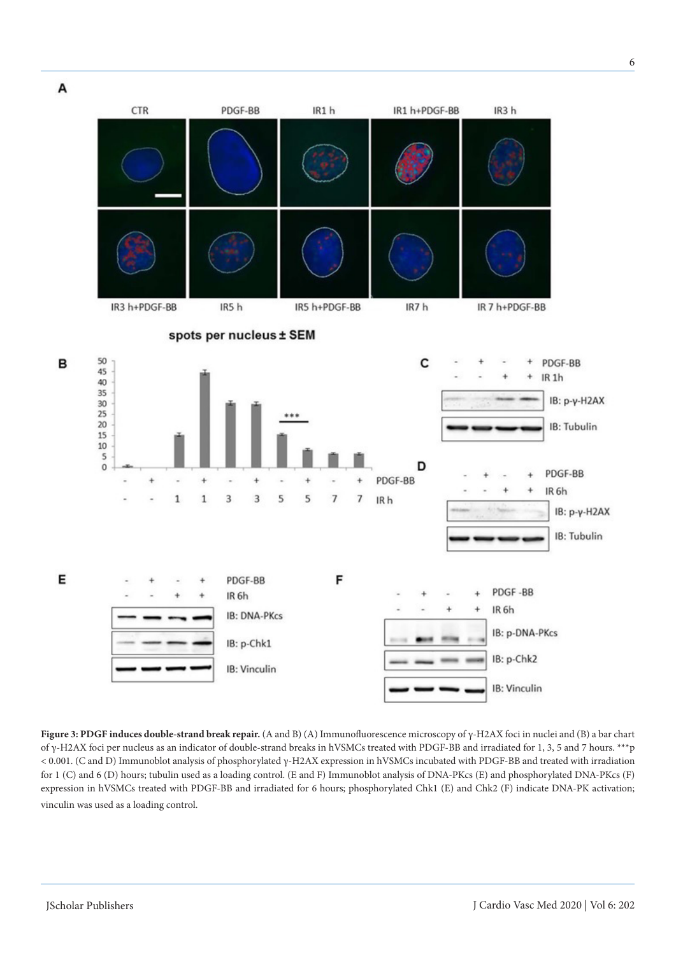

**Figure 3: PDGF induces double-strand break repair.** (A and B) (A) Immunofluorescence microscopy of γ-H2AX foci in nuclei and (B) a bar chart of γ-H2AX foci per nucleus as an indicator of double-strand breaks in hVSMCs treated with PDGF-BB and irradiated for 1, 3, 5 and 7 hours. \*\*\*p < 0.001. (C and D) Immunoblot analysis of phosphorylated γ-H2AX expression in hVSMCs incubated with PDGF-BB and treated with irradiation for 1 (C) and 6 (D) hours; tubulin used as a loading control. (E and F) Immunoblot analysis of DNA-PKcs (E) and phosphorylated DNA-PKcs (F) expression in hVSMCs treated with PDGF-BB and irradiated for 6 hours; phosphorylated Chk1 (E) and Chk2 (F) indicate DNA-PK activation; vinculin was used as a loading control.

6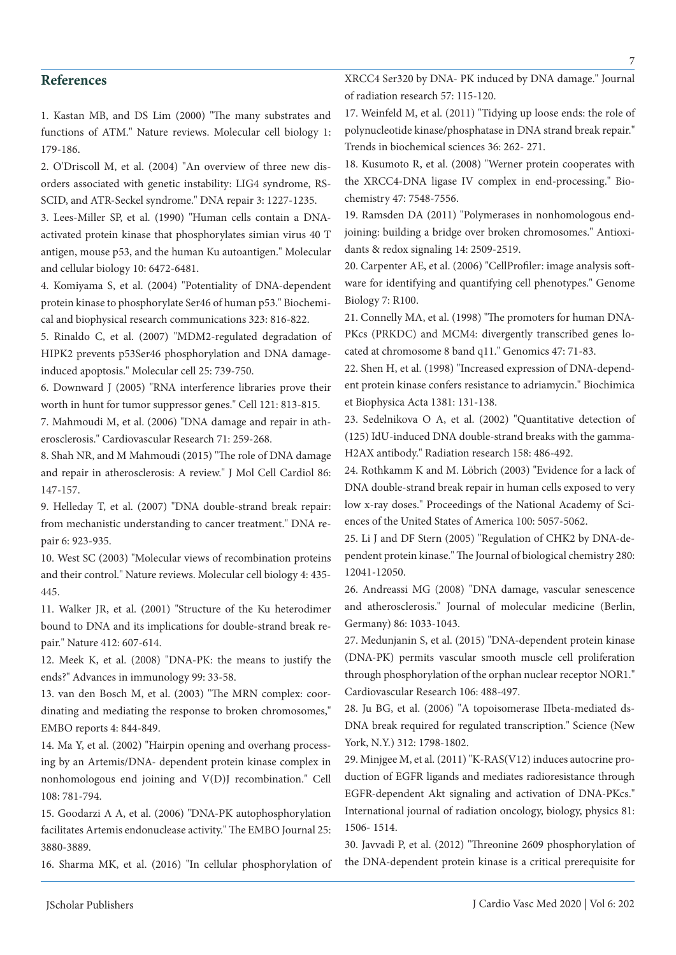## **References**

1. Kastan MB, and DS Lim (2000) "The many substrates and functions of ATM." Nature reviews. Molecular cell biology 1: 179-186.

2. O'Driscoll M, et al. (2004) "An overview of three new disorders associated with genetic instability: LIG4 syndrome, RS-SCID, and ATR-Seckel syndrome." DNA repair 3: 1227-1235.

3. Lees-Miller SP, et al. (1990) "Human cells contain a DNAactivated protein kinase that phosphorylates simian virus 40 T antigen, mouse p53, and the human Ku autoantigen." Molecular and cellular biology 10: 6472-6481.

4. Komiyama S, et al. (2004) "Potentiality of DNA-dependent protein kinase to phosphorylate Ser46 of human p53." Biochemical and biophysical research communications 323: 816-822.

5. Rinaldo C, et al. (2007) "MDM2-regulated degradation of HIPK2 prevents p53Ser46 phosphorylation and DNA damageinduced apoptosis." Molecular cell 25: 739-750.

6. Downward J (2005) "RNA interference libraries prove their worth in hunt for tumor suppressor genes." Cell 121: 813-815.

7. Mahmoudi M, et al. (2006) "DNA damage and repair in atherosclerosis." Cardiovascular Research 71: 259-268.

8. Shah NR, and M Mahmoudi (2015) "The role of DNA damage and repair in atherosclerosis: A review." J Mol Cell Cardiol 86: 147-157.

9. Helleday T, et al. (2007) "DNA double-strand break repair: from mechanistic understanding to cancer treatment." DNA repair 6: 923-935.

10. West SC (2003) "Molecular views of recombination proteins and their control." Nature reviews. Molecular cell biology 4: 435- 445.

11. Walker JR, et al. (2001) "Structure of the Ku heterodimer bound to DNA and its implications for double-strand break repair." Nature 412: 607-614.

12. Meek K, et al. (2008) "DNA-PK: the means to justify the ends?" Advances in immunology 99: 33-58.

13. van den Bosch M, et al. (2003) "The MRN complex: coordinating and mediating the response to broken chromosomes," EMBO reports 4: 844-849.

14. Ma Y, et al. (2002) "Hairpin opening and overhang processing by an Artemis/DNA- dependent protein kinase complex in nonhomologous end joining and V(D)J recombination." Cell 108: 781-794.

15. Goodarzi A A, et al. (2006) "DNA-PK autophosphorylation facilitates Artemis endonuclease activity." The EMBO Journal 25: 3880-3889.

16. Sharma MK, et al. (2016) "In cellular phosphorylation of

XRCC4 Ser320 by DNA- PK induced by DNA damage." Journal of radiation research 57: 115-120.

17. Weinfeld M, et al. (2011) "Tidying up loose ends: the role of polynucleotide kinase/phosphatase in DNA strand break repair." Trends in biochemical sciences 36: 262- 271.

18. Kusumoto R, et al. (2008) "Werner protein cooperates with the XRCC4-DNA ligase IV complex in end-processing." Biochemistry 47: 7548-7556.

19. Ramsden DA (2011) "Polymerases in nonhomologous endjoining: building a bridge over broken chromosomes." Antioxidants & redox signaling 14: 2509-2519.

20. Carpenter AE, et al. (2006) "CellProfiler: image analysis software for identifying and quantifying cell phenotypes." Genome Biology 7: R100.

21. Connelly MA, et al. (1998) "The promoters for human DNA-PKcs (PRKDC) and MCM4: divergently transcribed genes located at chromosome 8 band q11." Genomics 47: 71-83.

22. Shen H, et al. (1998) "Increased expression of DNA-dependent protein kinase confers resistance to adriamycin." Biochimica et Biophysica Acta 1381: 131-138.

23. Sedelnikova O A, et al. (2002) "Quantitative detection of (125) IdU-induced DNA double-strand breaks with the gamma-H2AX antibody." Radiation research 158: 486-492.

24. Rothkamm K and M. Löbrich (2003) "Evidence for a lack of DNA double-strand break repair in human cells exposed to very low x-ray doses." Proceedings of the National Academy of Sciences of the United States of America 100: 5057-5062.

25. Li J and DF Stern (2005) "Regulation of CHK2 by DNA-dependent protein kinase." The Journal of biological chemistry 280: 12041-12050.

26. Andreassi MG (2008) "DNA damage, vascular senescence and atherosclerosis." Journal of molecular medicine (Berlin, Germany) 86: 1033-1043.

27. Medunjanin S, et al. (2015) "DNA-dependent protein kinase (DNA-PK) permits vascular smooth muscle cell proliferation through phosphorylation of the orphan nuclear receptor NOR1." Cardiovascular Research 106: 488-497.

28. Ju BG, et al. (2006) "A topoisomerase IIbeta-mediated ds-DNA break required for regulated transcription." Science (New York, N.Y.) 312: 1798-1802.

29. Minjgee M, et al. (2011) "K-RAS(V12) induces autocrine production of EGFR ligands and mediates radioresistance through EGFR-dependent Akt signaling and activation of DNA-PKcs." International journal of radiation oncology, biology, physics 81: 1506- 1514.

30. Javvadi P, et al. (2012) "Threonine 2609 phosphorylation of the DNA-dependent protein kinase is a critical prerequisite for